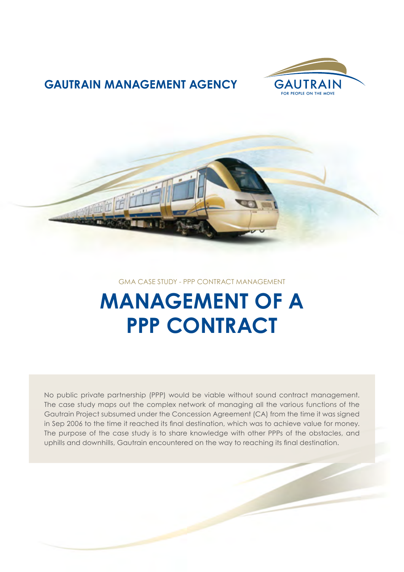

### **GAUTRAIN MANAGEMENT AGENCY**



GMA CASE STUDY - PPP CONTRACT MANAGEMENT

# **MANAGEMENT OF A PPP CONTRACT**

No public private partnership (PPP) would be viable without sound contract management. The case study maps out the complex network of managing all the various functions of the Gautrain Project subsumed under the Concession Agreement (CA) from the time it was signed in Sep 2006 to the time it reached its final destination, which was to achieve value for money. The purpose of the case study is to share knowledge with other PPPs of the obstacles, and uphills and downhills, Gautrain encountered on the way to reaching its final destination.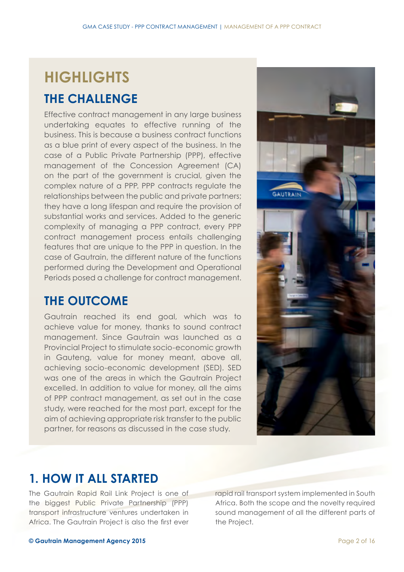## **HIGHLIGHTS**

### **THE CHALLENGE**

Effective contract management in any large business undertaking equates to effective running of the business. This is because a business contract functions as a blue print of every aspect of the business. In the case of a Public Private Partnership (PPP), effective management of the Concession Agreement (CA) on the part of the government is crucial, given the complex nature of a PPP. PPP contracts regulate the relationships between the public and private partners; they have a long lifespan and require the provision of substantial works and services. Added to the generic complexity of managing a PPP contract, every PPP contract management process entails challenging features that are unique to the PPP in question. In the case of Gautrain, the different nature of the functions performed during the Development and Operational Periods posed a challenge for contract management.

### **THE OUTCOME**

Gautrain reached its end goal, which was to achieve value for money, thanks to sound contract management. Since Gautrain was launched as a Provincial Project to stimulate socio-economic growth in Gauteng, value for money meant, above all, achieving socio-economic development (SED). SED was one of the areas in which the Gautrain Project excelled. In addition to value for money, all the aims of PPP contract management, as set out in the case study, were reached for the most part, except for the aim of achieving appropriate risk transfer to the public partner, for reasons as discussed in the case study.



### **1. HOW IT ALL STARTED**

The Gautrain Rapid Rail Link Project is one of the biggest Public Private Partnership (PPP) transport infrastructure ventures undertaken in Africa. The Gautrain Project is also the first ever

rapid rail transport system implemented in South Africa. Both the scope and the novelty required sound management of all the different parts of the Project.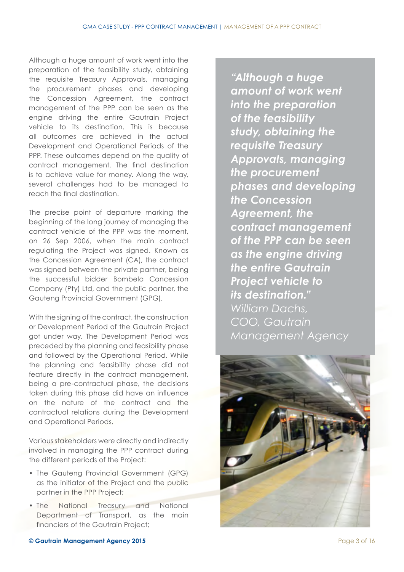Although a huge amount of work went into the preparation of the feasibility study, obtaining the requisite Treasury Approvals, managing the procurement phases and developing the Concession Agreement, the contract management of the PPP can be seen as the engine driving the entire Gautrain Project vehicle to its destination. This is because all outcomes are achieved in the actual Development and Operational Periods of the PPP. These outcomes depend on the quality of contract management. The final destination is to achieve value for money. Along the way, several challenges had to be managed to reach the final destination.

The precise point of departure marking the beginning of the long journey of managing the contract vehicle of the PPP was the moment, on 26 Sep 2006, when the main contract regulating the Project was signed. Known as the Concession Agreement (CA), the contract was signed between the private partner, being the successful bidder Bombela Concession Company (Pty) Ltd, and the public partner, the Gauteng Provincial Government (GPG).

With the signing of the contract, the construction or Development Period of the Gautrain Project got under way. The Development Period was preceded by the planning and feasibility phase and followed by the Operational Period. While the planning and feasibility phase did not feature directly in the contract management, being a pre-contractual phase, the decisions taken during this phase did have an influence on the nature of the contract and the contractual relations during the Development and Operational Periods.

Various stakeholders were directly and indirectly involved in managing the PPP contract during the different periods of the Project:

- The Gauteng Provincial Government (GPG) as the initiator of the Project and the public partner in the PPP Project;
- The National Treasury and National Department of Transport, as the main financiers of the Gautrain Project;

*"Although a huge amount of work went into the preparation of the feasibility study, obtaining the requisite Treasury Approvals, managing the procurement phases and developing the Concession Agreement, the contract management of the PPP can be seen as the engine driving the entire Gautrain Project vehicle to its destination." William Dachs, COO, Gautrain Management Agency*

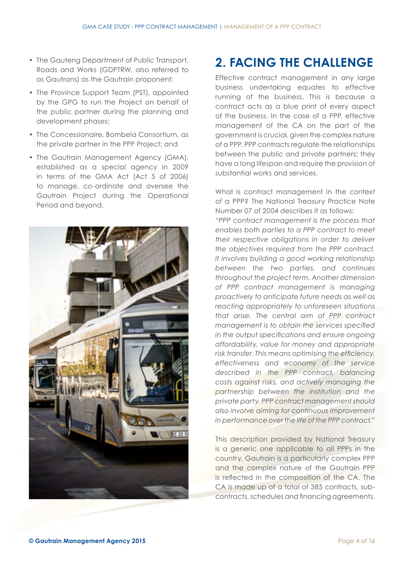- The Gauteng Department of Public Transport, Roads and Works (GDPTRW, also referred to as Gautrans) as the Gautrain proponent;
- The Province Support Team (PST), appointed by the GPG to run the Project on behalf of the public partner during the planning and development phases;
- The Concessionaire, Bombela Consortium, as the private partner in the PPP Project; and
- The Gautrain Management Agency (GMA), established as a special agency in 2009 in terms of the GMA Act (Act 5 of 2006) to manage, co-ordinate and oversee the Gautrain Project during the Operational Period and beyond.



### **2. FACING THE CHALLENGE**

Effective contract management in any large business undertaking equates to effective running of the business. This is because a contract acts as a blue print of every aspect of the business. In the case of a PPP, effective management of the CA on the part of the government is crucial, given the complex nature of a PPP. PPP contracts regulate the relationships between the public and private partners; they have a long lifespan and require the provision of substantial works and services.

What is contract management in the context of a PPP? The National Treasury Practice Note Number 07 of 2004 describes it as follows: "*PPP contract management is the process that enables both parties to a PPP contract to meet their respective obligations in order to deliver the objectives required from the PPP contract. It involves building a good working relationship between the two parties, and continues throughout the project term. Another dimension of PPP contract management is managing proactively to anticipate future needs as well as reacting appropriately to unforeseen situations that arise. The central aim of PPP contract management is to obtain the services specified in the output specifications and ensure ongoing affordability, value for money and appropriate risk transfer. This means optimising the efficiency, effectiveness and economy of the service described in the PPP contract, balancing costs against risks, and actively managing the partnership between the institution and the private party. PPP contract management should also involve aiming for continuous improvement in performance over the life of the PPP contract.*"

This description provided by National Treasury is a generic one applicable to all PPPs in the country. Gautrain is a particularly complex PPP and the complex nature of the Gautrain PPP is reflected in the composition of the CA. The CA is made up of a total of 385 contracts, subcontracts, schedules and financing agreements.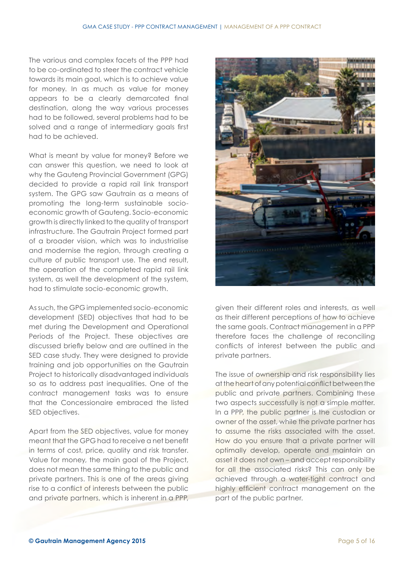The various and complex facets of the PPP had to be co-ordinated to steer the contract vehicle towards its main goal, which is to achieve value for money. In as much as value for money appears to be a clearly demarcated final destination, along the way various processes had to be followed, several problems had to be solved and a range of intermediary goals first had to be achieved.

What is meant by value for money? Before we can answer this question, we need to look at why the Gauteng Provincial Government (GPG) decided to provide a rapid rail link transport system. The GPG saw Gautrain as a means of promoting the long-term sustainable socioeconomic growth of Gauteng. Socio-economic growth is directly linked to the quality of transport infrastructure. The Gautrain Project formed part of a broader vision, which was to industrialise and modernise the region, through creating a culture of public transport use. The end result, the operation of the completed rapid rail link system, as well the development of the system, had to stimulate socio-economic growth.

As such, the GPG implemented socio-economic development (SED) objectives that had to be met during the Development and Operational Periods of the Project. These objectives are discussed briefly below and are outlined in the SED case study. They were designed to provide training and job opportunities on the Gautrain Project to historically disadvantaged individuals so as to address past inequalities. One of the contract management tasks was to ensure that the Concessionaire embraced the listed SED objectives.

Apart from the SED objectives, value for money meant that the GPG had to receive a net benefit in terms of cost, price, quality and risk transfer. Value for money, the main goal of the Project, does not mean the same thing to the public and private partners. This is one of the areas giving rise to a conflict of interests between the public and private partners, which is inherent in a PPP,



given their different roles and interests, as well as their different perceptions of how to achieve the same goals. Contract management in a PPP therefore faces the challenge of reconciling conflicts of interest between the public and private partners.

The issue of ownership and risk responsibility lies at the heart of any potential conflict between the public and private partners. Combining these two aspects successfully is not a simple matter. In a PPP, the public partner is the custodian or owner of the asset, while the private partner has to assume the risks associated with the asset. How do you ensure that a private partner will optimally develop, operate and maintain an asset it does not own – and accept responsibility for all the associated risks? This can only be achieved through a water-tight contract and highly efficient contract management on the part of the public partner.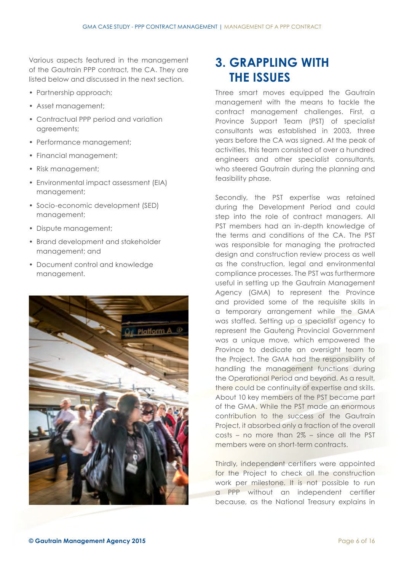Various aspects featured in the management of the Gautrain PPP contract, the CA. They are listed below and discussed in the next section.

- Partnership approach;
- Asset management;
- Contractual PPP period and variation agreements;
- Performance management;
- Financial management;
- Risk management;
- Environmental impact assessment (EIA) management;
- Socio-economic development (SED) management;
- Dispute management;
- Brand development and stakeholder management; and
- Document control and knowledge management.



### **3. GRAPPLING WITH THE ISSUES**

Three smart moves equipped the Gautrain management with the means to tackle the contract management challenges. First, a Province Support Team (PST) of specialist consultants was established in 2003, three years before the CA was signed. At the peak of activities, this team consisted of over a hundred engineers and other specialist consultants, who steered Gautrain during the planning and feasibility phase.

Secondly, the PST expertise was retained during the Development Period and could step into the role of contract managers. All PST members had an in-depth knowledge of the terms and conditions of the CA. The PST was responsible for managing the protracted design and construction review process as well as the construction, legal and environmental compliance processes. The PST was furthermore useful in setting up the Gautrain Management Agency (GMA) to represent the Province and provided some of the requisite skills in a temporary arrangement while the GMA was staffed. Setting up a specialist agency to represent the Gauteng Provincial Government was a unique move, which empowered the Province to dedicate an oversight team to the Project. The GMA had the responsibility of handling the management functions during the Operational Period and beyond. As a result, there could be continuity of expertise and skills. About 10 key members of the PST became part of the GMA. While the PST made an enormous contribution to the success of the Gautrain Project, it absorbed only a fraction of the overall costs – no more than 2% – since all the PST members were on short-term contracts.

Thirdly, independent certifiers were appointed for the Project to check all the construction work per milestone. It is not possible to run a PPP without an independent certifier because, as the National Treasury explains in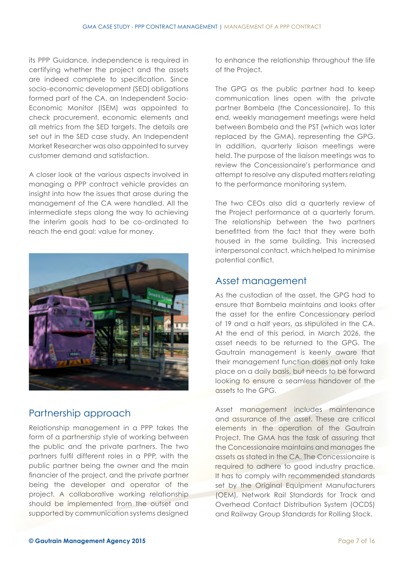its PPP Guidance, independence is required in certifying whether the project and the assets are indeed complete to specification. Since socio-economic development (SED) obligations formed part of the CA, an Independent Socio-Economic Monitor (ISEM) was appointed to check procurement, economic elements and all metrics from the SED targets. The details are set out in the SED case study. An Independent Market Researcher was also appointed to survey customer demand and satisfaction.

A closer look at the various aspects involved in managing a PPP contract vehicle provides an insight into how the issues that arose during the management of the CA were handled. All the intermediate steps along the way to achieving the interim goals had to be co-ordinated to reach the end goal: value for money.



#### Partnership approach

Relationship management in a PPP takes the form of a partnership style of working between the public and the private partners. The two partners fulfil different roles in a PPP, with the public partner being the owner and the main financier of the project, and the private partner being the developer and operator of the project. A collaborative working relationship should be implemented from the outset and supported by communication systems designed

to enhance the relationship throughout the life of the Project.

The GPG as the public partner had to keep communication lines open with the private partner Bombela (the Concessionaire). To this end, weekly management meetings were held between Bombela and the PST (which was later replaced by the GMA), representing the GPG. In addition, quarterly liaison meetings were held. The purpose of the liaison meetings was to review the Concessionaire's performance and attempt to resolve any disputed matters relating to the performance monitoring system.

The two CEOs also did a quarterly review of the Project performance at a quarterly forum. The relationship between the two partners benefitted from the fact that they were both housed in the same building. This increased interpersonal contact, which helped to minimise potential conflict.

#### Asset management

As the custodian of the asset, the GPG had to ensure that Bombela maintains and looks after the asset for the entire Concessionary period of 19 and a half years, as stipulated in the CA. At the end of this period, in March 2026, the asset needs to be returned to the GPG. The Gautrain management is keenly aware that their management function does not only take place on a daily basis, but needs to be forward looking to ensure a seamless handover of the assets to the GPG.

Asset management includes maintenance and assurance of the asset. These are critical elements in the operation of the Gautrain Project. The GMA has the task of assuring that the Concessionaire maintains and manages the assets as stated in the CA. The Concessionaire is required to adhere to good industry practice. It has to comply with recommended standards set by the Original Equipment Manufacturers (OEM), Network Rail Standards for Track and Overhead Contact Distribution System (OCDS) and Railway Group Standards for Rolling Stock.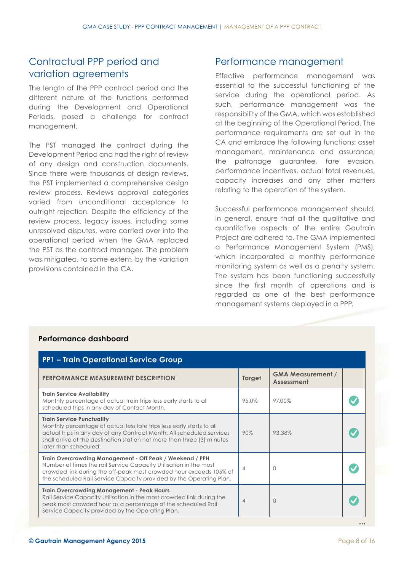#### Contractual PPP period and variation agreements

The length of the PPP contract period and the different nature of the functions performed during the Development and Operational Periods, posed a challenge for contract management.

The PST managed the contract during the Development Period and had the right of review of any design and construction documents. Since there were thousands of design reviews, the PST implemented a comprehensive design review process. Reviews approval categories varied from unconditional acceptance to outright rejection. Despite the efficiency of the review process, legacy issues, including some unresolved disputes, were carried over into the operational period when the GMA replaced the PST as the contract manager. The problem was mitigated, to some extent, by the variation provisions contained in the CA.

#### Performance management

Effective performance management was essential to the successful functioning of the service during the operational period. As such, performance management was the responsibility of the GMA, which was established at the beginning of the Operational Period. The performance requirements are set out in the CA and embrace the following functions: asset management, maintenance and assurance, the patronage guarantee, fare evasion, performance incentives, actual total revenues, capacity increases and any other matters relating to the operation of the system.

Successful performance management should, in general, ensure that all the qualitative and quantitative aspects of the entire Gautrain Project are adhered to. The GMA implemented a Performance Management System (PMS), which incorporated a monthly performance monitoring system as well as a penalty system. The system has been functioning successfully since the first month of operations and is regarded as one of the best performance management systems deployed in a PPP.

| <b>PERFORMANCE MEASUREMENT DESCRIPTION</b>                                                                                                                                                                                                                                             | <b>Target</b>  | <b>GMA Measurement /</b><br>Assessment |  |
|----------------------------------------------------------------------------------------------------------------------------------------------------------------------------------------------------------------------------------------------------------------------------------------|----------------|----------------------------------------|--|
| <b>Train Service Availability</b><br>Monthly percentage of actual train trips less early starts to all<br>scheduled trips in any day of Contact Month.                                                                                                                                 | 95.0%          | 97.00%                                 |  |
| <b>Train Service Punctuality</b><br>Monthly percentage of actual less late trips less early starts to all<br>actual trips in any day of any Contract Month. All scheduled services<br>shall arrive at the destination station not more than three (3) minutes<br>later than scheduled. | 90%            | 93.38%                                 |  |
| Train Overcrowding Management - Off Peak / Weekend / PPH<br>Number of times the rail Service Capacity Utilisation in the most<br>crowded link during the off-peak most crowded hour exceeds 105% of<br>the scheduled Rail Service Capacity provided by the Operating Plan.             | $\overline{4}$ | $\Omega$                               |  |
| <b>Train Overcrowding Management - Peak Hours</b><br>Rail Service Capacity Utilisation in the most crowded link during the<br>peak most crowded hour as a percentage of the scheduled Rail<br>Service Capacity provided by the Operating Plan.                                         | $\overline{4}$ | $\Omega$                               |  |

#### **Performance dashboard**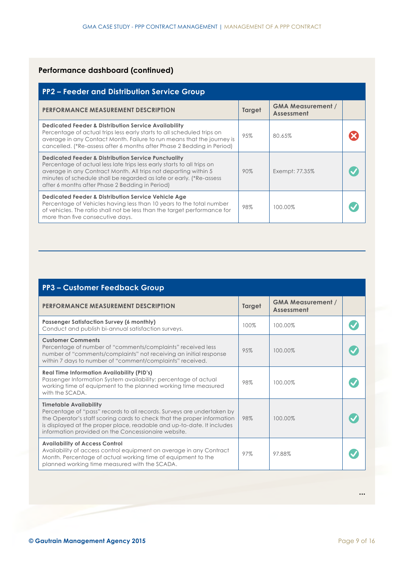#### **Performance dashboard (continued)**

| <b>PP2 - Feeder and Distribution Service Group</b>                                                                                                                                                                                                                                                                                    |               |                                        |  |
|---------------------------------------------------------------------------------------------------------------------------------------------------------------------------------------------------------------------------------------------------------------------------------------------------------------------------------------|---------------|----------------------------------------|--|
| <b>PERFORMANCE MEASUREMENT DESCRIPTION</b>                                                                                                                                                                                                                                                                                            | <b>Target</b> | <b>GMA Measurement /</b><br>Assessment |  |
| <b>Dedicated Feeder &amp; Distribution Service Availability</b><br>Percentage of actual trips less early starts to all scheduled trips on<br>average in any Contact Month. Failure to run means that the journey is<br>cancelled. (*Re-assess after 6 months after Phase 2 Bedding in Period)                                         | 95%           | 80.65%                                 |  |
| <b>Dedicated Feeder &amp; Distribution Service Punctuality</b><br>Percentage of actual less late trips less early starts to all trips on<br>average in any Contract Month. All trips not departing within 5<br>minutes of schedule shall be regarded as late or early. (*Re-assess<br>after 6 months after Phase 2 Bedding in Period) | 90%           | Exempt: 77.35%                         |  |
| <b>Dedicated Feeder &amp; Distribution Service Vehicle Age</b><br>Percentage of Vehicles having less than 10 years to the total number<br>of vehicles. The ratio shall not be less than the target performance for<br>more than five consecutive days.                                                                                | 98%           | 100.00%                                |  |

| <b>PP3 - Customer Feedback Group</b>                                                                                                                                                                                                                                                                                |        |                                        |  |
|---------------------------------------------------------------------------------------------------------------------------------------------------------------------------------------------------------------------------------------------------------------------------------------------------------------------|--------|----------------------------------------|--|
| <b>PERFORMANCE MEASUREMENT DESCRIPTION</b>                                                                                                                                                                                                                                                                          | Target | <b>GMA Measurement /</b><br>Assessment |  |
| <b>Passenger Satisfaction Survey (6 monthly)</b><br>Conduct and publish bi-annual satisfaction surveys.                                                                                                                                                                                                             | 100%   | 100.00%                                |  |
| <b>Customer Comments</b><br>Percentage of number of "comments/complaints" received less<br>number of "comments/complaints" not receiving an initial response<br>within 7 days to number of "comment/complaints" received.                                                                                           | 95%    | 100.00%                                |  |
| <b>Real Time Information Availability (PID's)</b><br>Passenger Information System availability: percentage of actual<br>working time of equipment to the planned working time measured<br>with the SCADA.                                                                                                           | 98%    | 100.00%                                |  |
| <b>Timetable Availability</b><br>Percentage of "pass" records to all records. Surveys are undertaken by<br>the Operator's staff scoring cards to check that the proper information<br>is displayed at the proper place, readable and up-to-date. It includes<br>information provided on the Concessionaire website. | 98%    | 100.00%                                |  |
| <b>Availability of Access Control</b><br>Availability of access control equipment on average in any Contract<br>Month. Percentage of actual working time of equipment to the<br>planned working time measured with the SCADA.                                                                                       | 97%    | 97.88%                                 |  |

**...**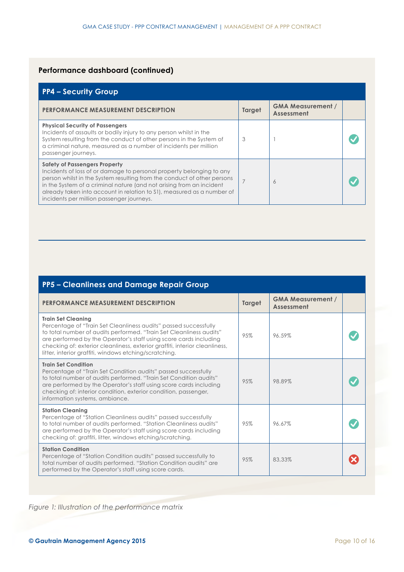#### **Performance dashboard (continued)**

| <b>PP4 - Security Group</b>                                                                                                                                                                                                                                                                                                                                                            |        |                                        |  |
|----------------------------------------------------------------------------------------------------------------------------------------------------------------------------------------------------------------------------------------------------------------------------------------------------------------------------------------------------------------------------------------|--------|----------------------------------------|--|
| <b>PERFORMANCE MEASUREMENT DESCRIPTION</b>                                                                                                                                                                                                                                                                                                                                             | Target | <b>GMA Measurement /</b><br>Assessment |  |
| <b>Physical Security of Passengers</b><br>Incidents of assaults or bodily injury to any person whilst in the<br>System resulting from the conduct of other persons in the System of<br>a criminal nature, measured as a number of incidents per million<br>passenger journeys.                                                                                                         | 3      |                                        |  |
| <b>Safety of Passengers Property</b><br>Incidents of loss of or damage to personal property belonging to any<br>person whilst in the System resulting from the conduct of other persons<br>in the System of a criminal nature (and not arising from an incident<br>already taken into account in relation to S1), measured as a number of<br>incidents per million passenger journeys. |        | 6                                      |  |

| PP5 - Cleanliness and Damage Repair Group                                                                                                                                                                                                                                                                                                                                          |        |                                        |  |
|------------------------------------------------------------------------------------------------------------------------------------------------------------------------------------------------------------------------------------------------------------------------------------------------------------------------------------------------------------------------------------|--------|----------------------------------------|--|
| <b>PERFORMANCE MEASUREMENT DESCRIPTION</b>                                                                                                                                                                                                                                                                                                                                         | Target | <b>GMA Measurement /</b><br>Assessment |  |
| <b>Train Set Cleaning</b><br>Percentage of "Train Set Cleanliness audits" passed successfully<br>to total number of audits performed. "Train Set Cleanliness audits"<br>are performed by the Operator's staff using score cards including<br>checking of: exterior cleanliness, exterior graffiti, interior cleanliness,<br>litter, interior graffiti, windows etching/scratching. | 95%    | 96.59%                                 |  |
| <b>Train Set Condition</b><br>Percentage of "Train Set Condition audits" passed successfully<br>to total number of audits performed. "Train Set Condition audits"<br>are performed by the Operator's staff using score cards including<br>checking of: interior condition, exterior condition, passenger,<br>information systems, ambiance.                                        | 95%    | 98.89%                                 |  |
| <b>Station Cleaning</b><br>Percentage of "Station Cleanliness audits" passed successfully<br>to total number of audits performed. "Station Cleanliness audits"<br>are performed by the Operator's staff using score cards including<br>checking of: graffiti, litter, windows etching/scratching.                                                                                  | 9.5%   | 96.67%                                 |  |
| <b>Station Condition</b><br>Percentage of "Station Condition audits" passed successfully to<br>total number of audits performed. "Station Condition audits" are<br>performed by the Operator's staff using score cards.                                                                                                                                                            | 95%    | 83,33%                                 |  |

*Figure 1: Illustration of the performance matrix*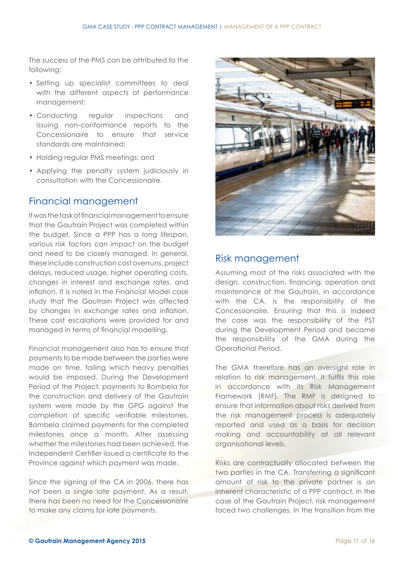The success of the PMS can be attributed to the following:

- Setting up specialist committees to deal with the different aspects of performance management;
- Conducting regular inspections and issuing non-conformance reports to the Concessionaire to ensure that service standards are maintained;
- Holding regular PMS meetings; and
- Applying the penalty system judiciously in consultation with the Concessionaire.

#### Financial management

It was the task of financial management to ensure that the Gautrain Project was completed within the budget. Since a PPP has a long lifespan, various risk factors can impact on the budget and need to be closely managed. In general, these include construction cost overruns, project delays, reduced usage, higher operating costs, changes in interest and exchange rates, and inflation. It is noted in the Financial Model case study that the Gautrain Project was affected by changes in exchange rates and inflation. These cost escalations were provided for and managed in terms of financial modelling.

Financial management also has to ensure that payments to be made between the parties were made on time, failing which heavy penalties would be imposed. During the Development Period of the Project, payments to Bombela for the construction and delivery of the Gautrain system were made by the GPG against the completion of specific verifiable milestones. Bombela claimed payments for the completed milestones once a month. After assessing whether the milestones had been achieved, the Independent Certifier issued a certificate to the Province against which payment was made.

Since the signing of the CA in 2006, there has not been a single late payment. As a result, there has been no need for the Concessionaire to make any claims for late payments.



#### Risk management

Assuming most of the risks associated with the design, construction, financing, operation and maintenance of the Gautrain, in accordance with the CA, is the responsibility of the Concessionaire. Ensuring that this is indeed the case was the responsibility of the PST during the Development Period and became the responsibility of the GMA during the Operational Period.

The GMA therefore has an oversight role in relation to risk management. It fulfils this role in accordance with its Risk Management Framework (RMF). The RMF is designed to ensure that information about risks derived from the risk management process is adequately reported and used as a basis for decision making and accountability at all relevant organisational levels.

Risks are contractually allocated between the two parties in the CA. Transferring a significant amount of risk to the private partner is an inherent characteristic of a PPP contract. In the case of the Gautrain Project, risk management faced two challenges. In the transition from the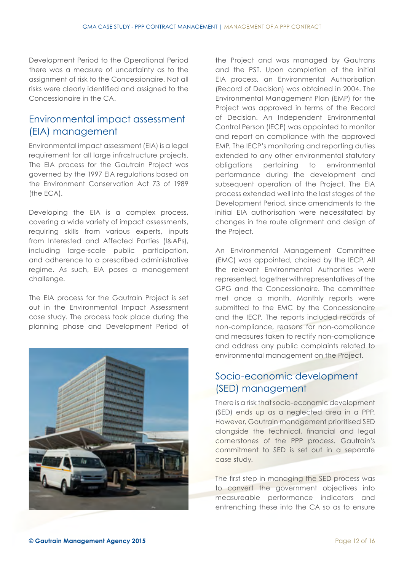Development Period to the Operational Period there was a measure of uncertainty as to the assignment of risk to the Concessionaire. Not all risks were clearly identified and assigned to the Concessionaire in the CA.

#### Environmental impact assessment (EIA) management

Environmental impact assessment (EIA) is a legal requirement for all large infrastructure projects. The EIA process for the Gautrain Project was governed by the 1997 EIA regulations based on the Environment Conservation Act 73 of 1989 (the ECA).

Developing the EIA is a complex process, covering a wide variety of impact assessments, requiring skills from various experts, inputs from Interested and Affected Parties (I&APs), including large-scale public participation, and adherence to a prescribed administrative regime. As such, EIA poses a management challenge.

The EIA process for the Gautrain Project is set out in the Environmental Impact Assessment case study. The process took place during the planning phase and Development Period of



the Project and was managed by Gautrans and the PST. Upon completion of the initial EIA process, an Environmental Authorisation (Record of Decision) was obtained in 2004. The Environmental Management Plan (EMP) for the Project was approved in terms of the Record of Decision. An Independent Environmental Control Person (IECP) was appointed to monitor and report on compliance with the approved EMP. The IECP's monitoring and reporting duties extended to any other environmental statutory obligations pertaining to environmental performance during the development and subsequent operation of the Project. The EIA process extended well into the last stages of the Development Period, since amendments to the initial EIA authorisation were necessitated by changes in the route alignment and design of the Project.

An Environmental Management Committee (EMC) was appointed, chaired by the IECP. All the relevant Environmental Authorities were represented, together with representatives of the GPG and the Concessionaire. The committee met once a month. Monthly reports were submitted to the EMC by the Concessionaire and the IECP. The reports included records of non-compliance, reasons for non-compliance and measures taken to rectify non-compliance and address any public complaints related to environmental management on the Project.

#### Socio-economic development (SED) management

There is a risk that socio-economic development (SED) ends up as a neglected area in a PPP. However, Gautrain management prioritised SED alongside the technical, financial and legal cornerstones of the PPP process. Gautrain's commitment to SED is set out in a separate case study.

The first step in managing the SED process was to convert the government objectives into measureable performance indicators and entrenching these into the CA so as to ensure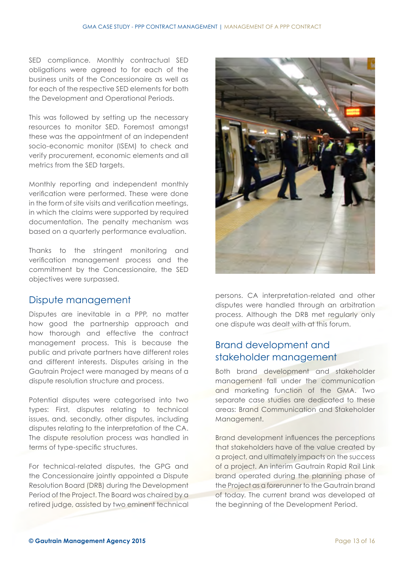SED compliance. Monthly contractual SED obligations were agreed to for each of the business units of the Concessionaire as well as for each of the respective SED elements for both the Development and Operational Periods.

This was followed by setting up the necessary resources to monitor SED. Foremost amongst these was the appointment of an independent socio-economic monitor (ISEM) to check and verify procurement, economic elements and all metrics from the SED targets.

Monthly reporting and independent monthly verification were performed. These were done in the form of site visits and verification meetings, in which the claims were supported by required documentation. The penalty mechanism was based on a quarterly performance evaluation.

Thanks to the stringent monitoring and verification management process and the commitment by the Concessionaire, the SED objectives were surpassed.

#### Dispute management

Disputes are inevitable in a PPP, no matter how good the partnership approach and how thorough and effective the contract management process. This is because the public and private partners have different roles and different interests. Disputes arising in the Gautrain Project were managed by means of a dispute resolution structure and process.

Potential disputes were categorised into two types: First, disputes relating to technical issues, and, secondly, other disputes, including disputes relating to the interpretation of the CA. The dispute resolution process was handled in terms of type-specific structures.

For technical-related disputes, the GPG and the Concessionaire jointly appointed a Dispute Resolution Board (DRB) during the Development Period of the Project. The Board was chaired by a retired judge, assisted by two eminent technical



persons. CA interpretation-related and other disputes were handled through an arbitration process. Although the DRB met regularly only one dispute was dealt with at this forum.

#### Brand development and stakeholder management

Both brand development and stakeholder management fall under the communication and marketing function of the GMA. Two separate case studies are dedicated to these areas: Brand Communication and Stakeholder Management.

Brand development influences the perceptions that stakeholders have of the value created by a project, and ultimately impacts on the success of a project. An interim Gautrain Rapid Rail Link brand operated during the planning phase of the Project as a forerunner to the Gautrain brand of today. The current brand was developed at the beginning of the Development Period.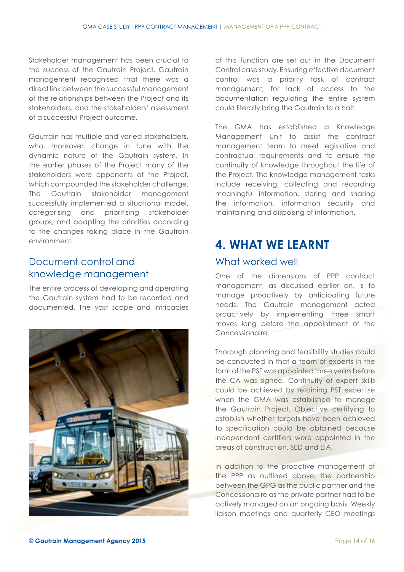Stakeholder management has been crucial to the success of the Gautrain Project. Gautrain management recognised that there was a direct link between the successful management of the relationships between the Project and its stakeholders, and the stakeholders' assessment of a successful Project outcome.

Gautrain has multiple and varied stakeholders, who, moreover, change in tune with the dynamic nature of the Gautrain system. In the earlier phases of the Project many of the stakeholders were opponents of the Project, which compounded the stakeholder challenge. The Gautrain stakeholder management successfully implemented a situational model, categorising and prioritising stakeholder groups, and adapting the priorities according to the changes taking place in the Gautrain environment.

#### Document control and knowledge management

The entire process of developing and operating the Gautrain system had to be recorded and documented. The vast scope and intricacies



of this function are set out in the Document Control case study. Ensuring effective document control was a priority task of contract management, for lack of access to the documentation regulating the entire system could literally bring the Gautrain to a halt.

The GMA has established a Knowledge Management Unit to assist the contract management team to meet legislative and contractual requirements and to ensure the continuity of knowledge throughout the life of the Project. The knowledge management tasks include receiving, collecting and recording meaningful information, storing and sharing the information, information security and maintaining and disposing of information.

### **4. WHAT WE LEARNT**

#### What worked well

One of the dimensions of PPP contract management, as discussed earlier on, is to manage proactively by anticipating future needs. The Gautrain management acted proactively by implementing three smart moves long before the appointment of the Concessionaire.

Thorough planning and feasibility studies could be conducted in that a team of experts in the form of the PST was appointed three years before the CA was signed. Continuity of expert skills could be achieved by retaining PST expertise when the GMA was established to manage the Gautrain Project. Objective certifying to establish whether targets have been achieved to specification could be obtained because independent certifiers were appointed in the areas of construction, SED and EIA.

In addition to the proactive management of the PPP as outlined above, the partnership between the GPG as the public partner and the Concessionaire as the private partner had to be actively managed on an ongoing basis. Weekly liaison meetings and quarterly CEO meetings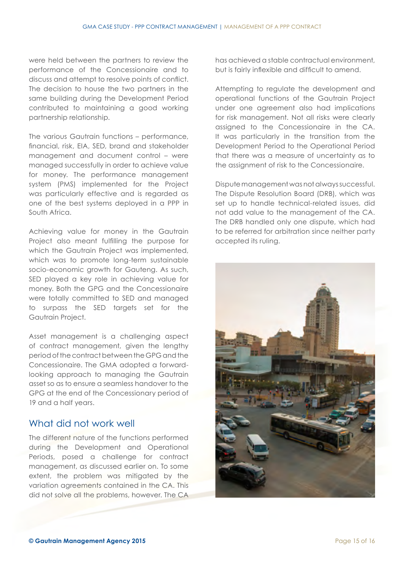were held between the partners to review the performance of the Concessionaire and to discuss and attempt to resolve points of conflict. The decision to house the two partners in the same building during the Development Period contributed to maintaining a good working partnership relationship.

The various Gautrain functions – performance, financial, risk, EIA, SED, brand and stakeholder management and document control – were managed successfully in order to achieve value for money. The performance management system (PMS) implemented for the Project was particularly effective and is regarded as one of the best systems deployed in a PPP in South Africa.

Achieving value for money in the Gautrain Project also meant fulfilling the purpose for which the Gautrain Project was implemented, which was to promote long-term sustainable socio-economic growth for Gauteng. As such, SED played a key role in achieving value for money. Both the GPG and the Concessionaire were totally committed to SED and managed to surpass the SED targets set for the Gautrain Project.

Asset management is a challenging aspect of contract management, given the lengthy period of the contract between the GPG and the Concessionaire. The GMA adopted a forwardlooking approach to managing the Gautrain asset so as to ensure a seamless handover to the GPG at the end of the Concessionary period of 19 and a half years.

#### What did not work well

The different nature of the functions performed during the Development and Operational Periods, posed a challenge for contract management, as discussed earlier on. To some extent, the problem was mitigated by the variation agreements contained in the CA. This did not solve all the problems, however. The CA has achieved a stable contractual environment, but is fairly inflexible and difficult to amend.

Attempting to regulate the development and operational functions of the Gautrain Project under one agreement also had implications for risk management. Not all risks were clearly assigned to the Concessionaire in the CA. It was particularly in the transition from the Development Period to the Operational Period that there was a measure of uncertainty as to the assignment of risk to the Concessionaire.

Dispute management was not always successful. The Dispute Resolution Board (DRB), which was set up to handle technical-related issues, did not add value to the management of the CA. The DRB handled only one dispute, which had to be referred for arbitration since neither party accepted its ruling.